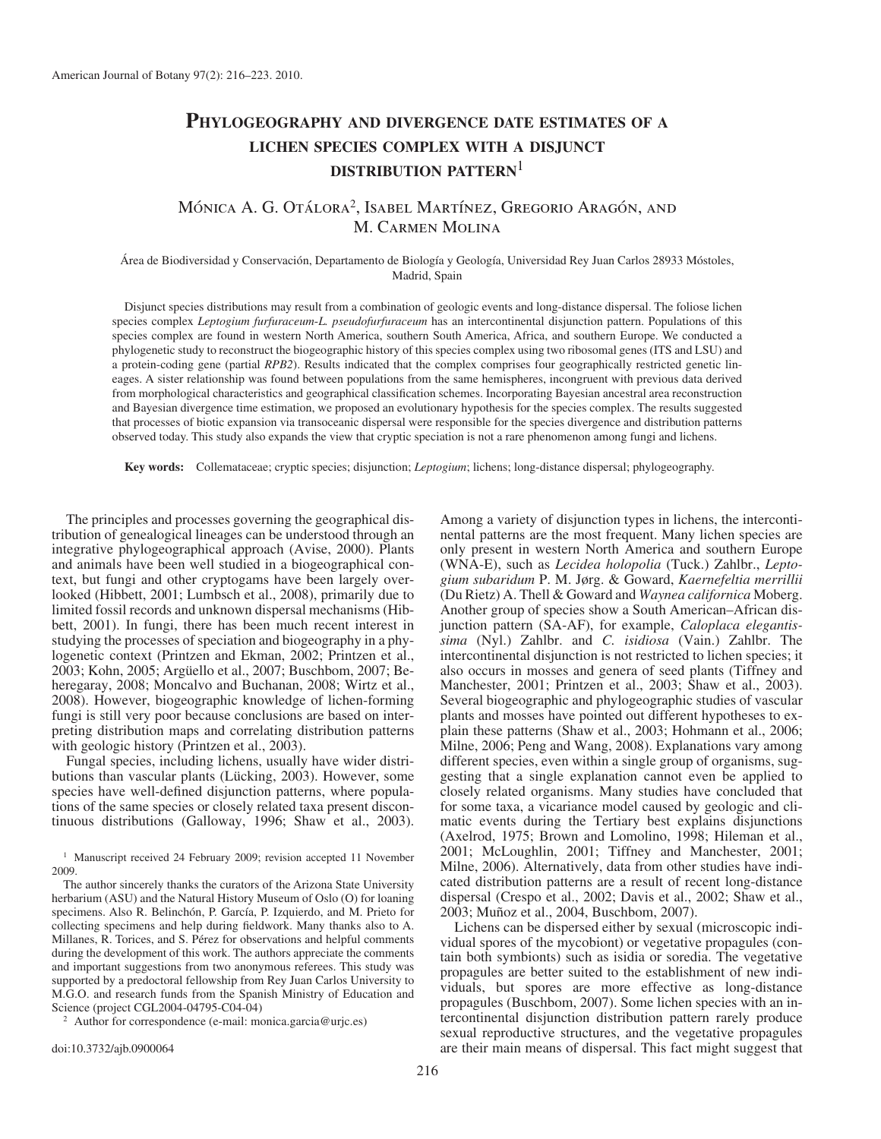# **PHYLOGEOGRAPHY AND DIVERGENCE DATE ESTIMATES OF <sup>A</sup> LICHEN SPECIES COMPLEX WITH A DISJUNCT DISTRIBUTION PATTERN**<sup>1</sup>

## MÓNICA A. G. OTÁLORA<sup>2</sup>, ISABEL MARTÍNEZ, GREGORIO ARAGÓN, AND M. Carmen Molina

Área de Biodiversidad y Conservación, Departamento de Biología y Geología, Universidad Rey Juan Carlos 28933 Móstoles, Madrid, Spain

 Disjunct species distributions may result from a combination of geologic events and long-distance dispersal. The foliose lichen species complex *Leptogium furfuraceum-L. pseudofurfuraceum* has an intercontinental disjunction pattern. Populations of this species complex are found in western North America, southern South America, Africa, and southern Europe. We conducted a phylogenetic study to reconstruct the biogeographic history of this species complex using two ribosomal genes (ITS and LSU) and a protein-coding gene (partial *RPB2*). Results indicated that the complex comprises four geographically restricted genetic lineages. A sister relationship was found between populations from the same hemispheres, incongruent with previous data derived from morphological characteristics and geographical classification schemes. Incorporating Bayesian ancestral area reconstruction and Bayesian divergence time estimation, we proposed an evolutionary hypothesis for the species complex. The results suggested that processes of biotic expansion via transoceanic dispersal were responsible for the species divergence and distribution patterns observed today. This study also expands the view that cryptic speciation is not a rare phenomenon among fungi and lichens.

 **Key words:** Collemataceae; cryptic species; disjunction; *Leptogium* ; lichens; long-distance dispersal; phylogeography.

 The principles and processes governing the geographical distribution of genealogical lineages can be understood through an integrative phylogeographical approach (Avise, 2000). Plants and animals have been well studied in a biogeographical context, but fungi and other cryptogams have been largely overlooked (Hibbett, 2001; Lumbsch et al., 2008), primarily due to limited fossil records and unknown dispersal mechanisms (Hibbett, 2001). In fungi, there has been much recent interest in studying the processes of speciation and biogeography in a phylogenetic context (Printzen and Ekman, 2002; Printzen et al., 2003; Kohn, 2005; Argüello et al., 2007; Buschbom, 2007; Beheregaray, 2008; Moncalvo and Buchanan, 2008; Wirtz et al., 2008). However, biogeographic knowledge of lichen-forming fungi is still very poor because conclusions are based on interpreting distribution maps and correlating distribution patterns with geologic history ( $\overline{P}$ rintzen et al., 2003).

 Fungal species, including lichens, usually have wider distributions than vascular plants (Lücking, 2003). However, some species have well-defined disjunction patterns, where populations of the same species or closely related taxa present discontinuous distributions (Galloway, 1996; Shaw et al., 2003).

 The author sincerely thanks the curators of the Arizona State University herbarium (ASU) and the Natural History Museum of Oslo (O) for loaning specimens. Also R. Belinchón, P. García, P. Izquierdo, and M. Prieto for collecting specimens and help during fieldwork. Many thanks also to A. Millanes, R. Torices, and S. Pérez for observations and helpful comments during the development of this work. The authors appreciate the comments and important suggestions from two anonymous referees. This study was supported by a predoctoral fellowship from Rey Juan Carlos University to M.G.O. and research funds from the Spanish Ministry of Education and

<sup>2</sup> Author for correspondence (e-mail: monica.garcia@urjc.es)

doi:10.3732/ajb.0900064

Among a variety of disjunction types in lichens, the intercontinental patterns are the most frequent. Many lichen species are only present in western North America and southern Europe (WNA-E), such as *Lecidea holopolia* (Tuck.) Zahlbr., *Leptogium subaridum* P. M. J ø rg. & Goward, *Kaernefeltia merrillii* (Du Rietz) A. Thell & Goward and *Waynea californica* Moberg. Another group of species show a South American-African disjunction pattern (SA-AF), for example, *Caloplaca elegantissima* (Nyl.) Zahlbr. and *C. isidiosa* (Vain.) Zahlbr. The intercontinental disjunction is not restricted to lichen species; it also occurs in mosses and genera of seed plants (Tiffney and Manchester, 2001; Printzen et al., 2003; Shaw et al., 2003). Several biogeographic and phylogeographic studies of vascular plants and mosses have pointed out different hypotheses to explain these patterns (Shaw et al., 2003; Hohmann et al., 2006; Milne, 2006; Peng and Wang, 2008). Explanations vary among different species, even within a single group of organisms, suggesting that a single explanation cannot even be applied to closely related organisms. Many studies have concluded that for some taxa, a vicariance model caused by geologic and climatic events during the Tertiary best explains disjunctions (Axelrod, 1975; Brown and Lomolino, 1998; Hileman et al., 2001; McLoughlin, 2001; Tiffney and Manchester, 2001; Milne, 2006). Alternatively, data from other studies have indicated distribution patterns are a result of recent long-distance dispersal (Crespo et al., 2002; Davis et al., 2002; Shaw et al., 2003; Muñoz et al., 2004, Buschbom, 2007).

 Lichens can be dispersed either by sexual (microscopic individual spores of the mycobiont) or vegetative propagules (contain both symbionts) such as isidia or soredia. The vegetative propagules are better suited to the establishment of new individuals, but spores are more effective as long-distance propagules (Buschbom, 2007). Some lichen species with an intercontinental disjunction distribution pattern rarely produce sexual reproductive structures, and the vegetative propagules are their main means of dispersal. This fact might suggest that

<sup>&</sup>lt;sup>1</sup> Manuscript received 24 February 2009; revision accepted 11 November 2009.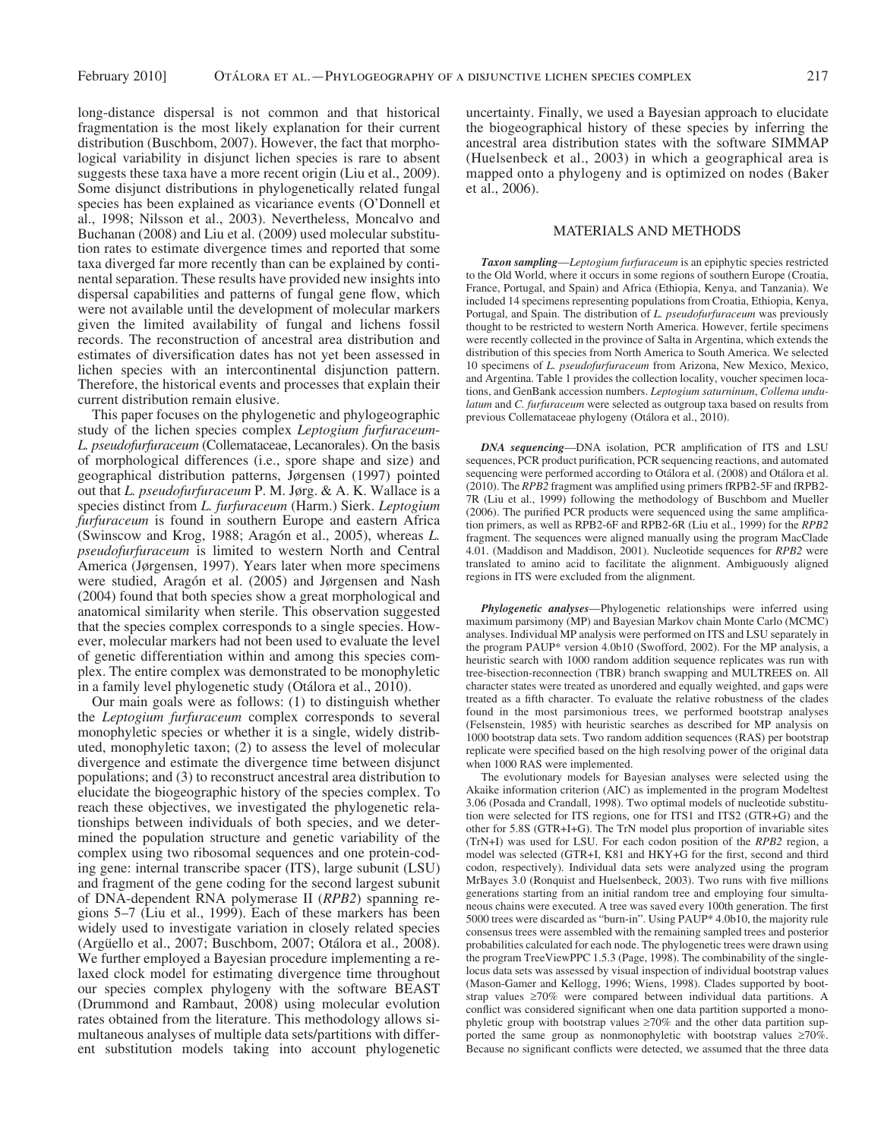long-distance dispersal is not common and that historical fragmentation is the most likely explanation for their current distribution (Buschbom, 2007). However, the fact that morphological variability in disjunct lichen species is rare to absent suggests these taxa have a more recent origin (Liu et al., 2009). Some disjunct distributions in phylogenetically related fungal species has been explained as vicariance events (O'Donnell et al., 1998; Nilsson et al., 2003). Nevertheless, Moncalvo and Buchanan (2008) and Liu et al. (2009) used molecular substitution rates to estimate divergence times and reported that some taxa diverged far more recently than can be explained by continental separation. These results have provided new insights into dispersal capabilities and patterns of fungal gene flow, which were not available until the development of molecular markers given the limited availability of fungal and lichens fossil records. The reconstruction of ancestral area distribution and estimates of diversification dates has not yet been assessed in lichen species with an intercontinental disjunction pattern. Therefore, the historical events and processes that explain their current distribution remain elusive.

 This paper focuses on the phylogenetic and phylogeographic study of the lichen species complex *Leptogium furfuraceum* - *L. pseudofurfuraceum* (Collemataceae, Lecanorales). On the basis of morphological differences (i.e., spore shape and size) and geographical distribution patterns, Jørgensen (1997) pointed out that *L. pseudofurfuraceum* P. M. Jørg. & A. K. Wallace is a species distinct from *L. furfuraceum* (Harm.) Sierk. *Leptogium furfuraceum* is found in southern Europe and eastern Africa (Swinscow and Krog, 1988; Aragón et al., 2005), whereas *L*. *pseudofurfuraceum* is limited to western North and Central America (Jørgensen, 1997). Years later when more specimens were studied, Aragón et al. (2005) and Jørgensen and Nash (2004) found that both species show a great morphological and anatomical similarity when sterile. This observation suggested that the species complex corresponds to a single species. However, molecular markers had not been used to evaluate the level of genetic differentiation within and among this species complex. The entire complex was demonstrated to be monophyletic in a family level phylogenetic study (Otálora et al., 2010).

 Our main goals were as follows: (1) to distinguish whether the *Leptogium furfuraceum* complex corresponds to several monophyletic species or whether it is a single, widely distributed, monophyletic taxon; (2) to assess the level of molecular divergence and estimate the divergence time between disjunct populations; and (3) to reconstruct ancestral area distribution to elucidate the biogeographic history of the species complex. To reach these objectives, we investigated the phylogenetic relationships between individuals of both species, and we determined the population structure and genetic variability of the complex using two ribosomal sequences and one protein-coding gene: internal transcribe spacer (ITS), large subunit (LSU) and fragment of the gene coding for the second largest subunit of DNA-dependent RNA polymerase II (*RPB2*) spanning regions 5–7 (Liu et al., 1999). Each of these markers has been widely used to investigate variation in closely related species (Argüello et al., 2007; Buschbom, 2007; Otálora et al., 2008). We further employed a Bayesian procedure implementing a relaxed clock model for estimating divergence time throughout our species complex phylogeny with the software BEAST (Drummond and Rambaut, 2008) using molecular evolution rates obtained from the literature. This methodology allows simultaneous analyses of multiple data sets/partitions with different substitution models taking into account phylogenetic

uncertainty. Finally, we used a Bayesian approach to elucidate the biogeographical history of these species by inferring the ancestral area distribution states with the software SIMMAP (Huelsenbeck et al., 2003) in which a geographical area is mapped onto a phylogeny and is optimized on nodes (Baker et al., 2006).

#### MATERIALS AND METHODS

*Taxon sampling* —*Leptogium furfuraceum* is an epiphytic species restricted to the Old World, where it occurs in some regions of southern Europe (Croatia, France, Portugal, and Spain) and Africa (Ethiopia, Kenya, and Tanzania). We included 14 specimens representing populations from Croatia, Ethiopia, Kenya, Portugal, and Spain. The distribution of *L. pseudofurfuraceum* was previously thought to be restricted to western North America. However, fertile specimens were recently collected in the province of Salta in Argentina, which extends the distribution of this species from North America to South America. We selected 10 specimens of *L. pseudofurfuraceum* from Arizona, New Mexico, Mexico, and Argentina. Table 1 provides the collection locality, voucher specimen locations, and GenBank accession numbers. *Leptogium saturninum* , *Collema undulatum* and *C. furfuraceum* were selected as outgroup taxa based on results from previous Collemataceae phylogeny (Otálora et al., 2010).

**DNA sequencing**—DNA isolation, PCR amplification of ITS and LSU sequences, PCR product purification, PCR sequencing reactions, and automated sequencing were performed according to Otálora et al. (2008) and Otálora et al. (2010). The *RPB2* fragment was amplified using primers fRPB2-5F and fRPB2-7R (Liu et al., 1999) following the methodology of Buschbom and Mueller  $(2006)$ . The purified PCR products were sequenced using the same amplification primers, as well as RPB2-6F and RPB2-6R ( Liu et al., 1999 ) for the *RPB2* fragment. The sequences were aligned manually using the program MacClade 4.01. ( Maddison and Maddison, 2001 ). Nucleotide sequences for *RPB2* were translated to amino acid to facilitate the alignment. Ambiguously aligned regions in ITS were excluded from the alignment.

**Phylogenetic analyses**—Phylogenetic relationships were inferred using maximum parsimony (MP) and Bayesian Markov chain Monte Carlo (MCMC) analyses. Individual MP analysis were performed on ITS and LSU separately in the program PAUP\* version 4.0b10 (Swofford, 2002). For the MP analysis, a heuristic search with 1000 random addition sequence replicates was run with tree-bisection-reconnection (TBR) branch swapping and MULTREES on. All character states were treated as unordered and equally weighted, and gaps were treated as a fifth character. To evaluate the relative robustness of the clades found in the most parsimonious trees, we performed bootstrap analyses (Felsenstein, 1985) with heuristic searches as described for MP analysis on 1000 bootstrap data sets. Two random addition sequences (RAS) per bootstrap replicate were specified based on the high resolving power of the original data when 1000 RAS were implemented.

 The evolutionary models for Bayesian analyses were selected using the Akaike information criterion (AIC) as implemented in the program Modeltest 3.06 ( Posada and Crandall, 1998 ). Two optimal models of nucleotide substitution were selected for ITS regions, one for ITS1 and ITS2 (GTR+G) and the other for 5.8S (GTR+I+G). The TrN model plus proportion of invariable sites (TrN+I) was used for LSU. For each codon position of the *RPB2* region, a model was selected (GTR+I, K81 and HKY+G for the first, second and third codon, respectively). Individual data sets were analyzed using the program MrBayes 3.0 (Ronquist and Huelsenbeck, 2003). Two runs with five millions generations starting from an initial random tree and employing four simultaneous chains were executed. A tree was saved every 100th generation. The first 5000 trees were discarded as "burn-in". Using PAUP\* 4.0b10, the majority rule consensus trees were assembled with the remaining sampled trees and posterior probabilities calculated for each node. The phylogenetic trees were drawn using the program TreeViewPPC 1.5.3 (Page, 1998). The combinability of the singlelocus data sets was assessed by visual inspection of individual bootstrap values (Mason-Gamer and Kellogg, 1996; Wiens, 1998). Clades supported by bootstrap values ≥70% were compared between individual data partitions. A conflict was considered significant when one data partition supported a monophyletic group with bootstrap values  $\geq 70\%$  and the other data partition supported the same group as nonmonophyletic with bootstrap values  $\geq 70\%$ . Because no significant conflicts were detected, we assumed that the three data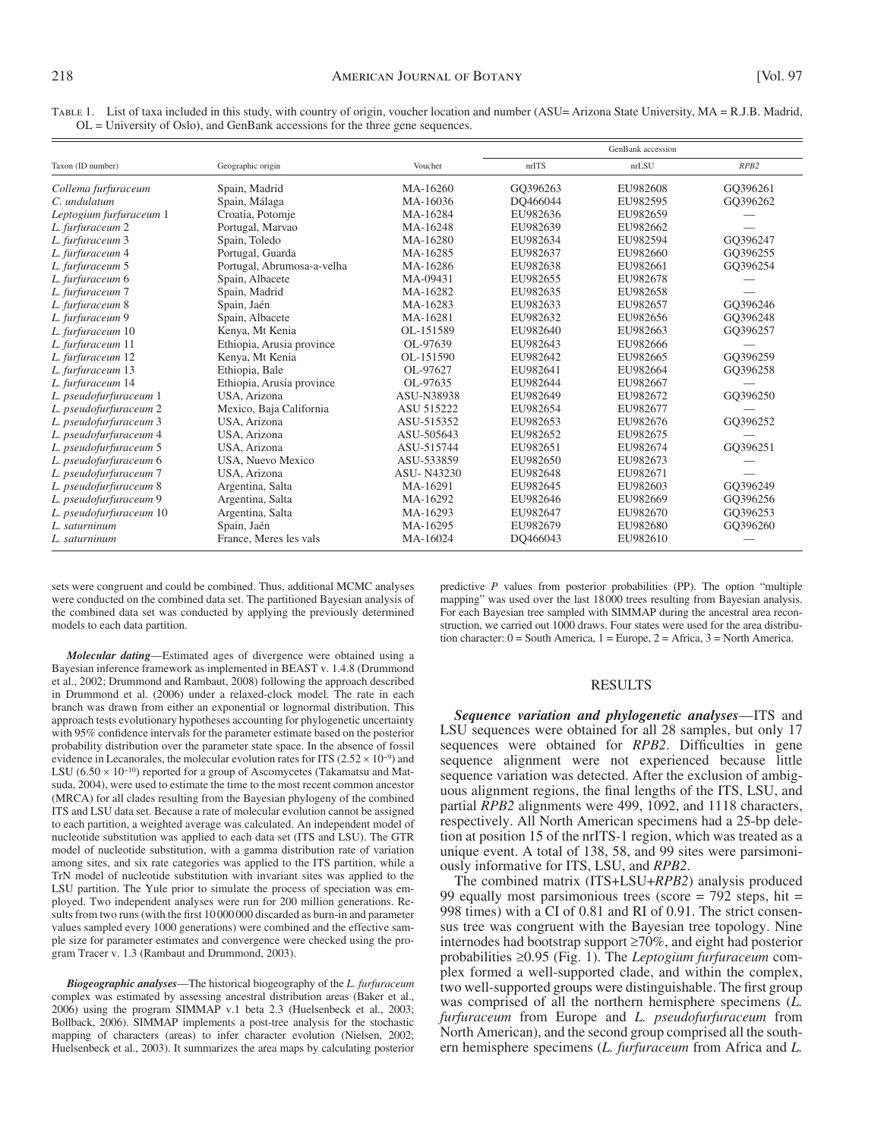|                         |                            |                   | GenBank accession |          |          |
|-------------------------|----------------------------|-------------------|-------------------|----------|----------|
| Taxon (ID number)       | Geographic origin          | Voucher           | nrITS             | nrLSU    | RPB2     |
| Collema furfuraceum     | Spain, Madrid              | MA-16260          | GO396263          | EU982608 | GQ396261 |
| C. undulatum            | Spain, Málaga              | MA-16036          | DO466044          | EU982595 | GQ396262 |
| Leptogium furfuraceum 1 | Croatia, Potomje           | MA-16284          | EU982636          | EU982659 |          |
| L. furfuraceum 2        | Portugal, Marvao           | MA-16248          | EU982639          | EU982662 |          |
| L. furfuraceum 3        | Spain, Toledo              | MA-16280          | EU982634          | EU982594 | GO396247 |
| L. furfuraceum 4        | Portugal, Guarda           | MA-16285          | EU982637          | EU982660 | GQ396255 |
| L. furfuraceum 5        | Portugal, Abrumosa-a-velha | MA-16286          | EU982638          | EU982661 | GQ396254 |
| L. furfuraceum 6        | Spain, Albacete            | MA-09431          | EU982655          | EU982678 |          |
| L. furfuraceum 7        | Spain, Madrid              | MA-16282          | EU982635          | EU982658 |          |
| L. furfuraceum 8        | Spain, Jaén                | MA-16283          | EU982633          | EU982657 | GO396246 |
| L. furfuraceum 9        | Spain, Albacete            | MA-16281          | EU982632          | EU982656 | GQ396248 |
| L. furfuraceum 10       | Kenya, Mt Kenia            | OL-151589         | EU982640          | EU982663 | GQ396257 |
| L. furfuraceum 11       | Ethiopia, Arusia province  | OL-97639          | EU982643          | EU982666 |          |
| L. furfuraceum 12       | Kenya, Mt Kenia            | OL-151590         | EU982642          | EU982665 | GQ396259 |
| L. furfuraceum 13       | Ethiopia, Bale             | OL-97627          | EU982641          | EU982664 | GQ396258 |
| L. furfuraceum 14       | Ethiopia, Arusia province  | OL-97635          | EU982644          | EU982667 |          |
| L. pseudofurfuraceum 1  | USA, Arizona               | ASU-N38938        | EU982649          | EU982672 | GQ396250 |
| L. pseudofurfuraceum 2  | Mexico, Baja California    | ASU 515222        | EU982654          | EU982677 |          |
| L. pseudofurfuraceum 3  | USA, Arizona               | ASU-515352        | EU982653          | EU982676 | GQ396252 |
| L. pseudofurfuraceum 4  | USA, Arizona               | ASU-505643        | EU982652          | EU982675 |          |
| L. pseudofurfuraceum 5  | USA, Arizona               | ASU-515744        | EU982651          | EU982674 | GQ396251 |
| L. pseudofurfuraceum 6  | USA, Nuevo Mexico          | ASU-533859        | EU982650          | EU982673 |          |
| L. pseudofurfuraceum 7  | USA, Arizona               | <b>ASU-N43230</b> | EU982648          | EU982671 |          |
| L. pseudofurfuraceum 8  | Argentina, Salta           | MA-16291          | EU982645          | EU982603 | GO396249 |
| L. pseudofurfuraceum 9  | Argentina, Salta           | MA-16292          | EU982646          | EU982669 | GQ396256 |
| L. pseudofurfuraceum 10 | Argentina, Salta           | MA-16293          | EU982647          | EU982670 | GQ396253 |
| L. saturninum           | Spain, Jaén                | MA-16295          | EU982679          | EU982680 | GQ396260 |
| L. saturninum           | France, Meres les vals     | MA-16024          | DO466043          | EU982610 |          |

 Table 1. List of taxa included in this study, with country of origin, voucher location and number (ASU= Arizona State University, MA = R.J.B. Madrid, OL = University of Oslo), and GenBank accessions for the three gene sequences.

sets were congruent and could be combined. Thus, additional MCMC analyses were conducted on the combined data set. The partitioned Bayesian analysis of the combined data set was conducted by applying the previously determined models to each data partition.

*Molecular dating*—Estimated ages of divergence were obtained using a Bayesian inference framework as implemented in BEAST v. 1.4.8 (Drummond et al., 2002; Drummond and Rambaut, 2008) following the approach described in Drummond et al. (2006) under a relaxed-clock model. The rate in each branch was drawn from either an exponential or lognormal distribution. This approach tests evolutionary hypotheses accounting for phylogenetic uncertainty with 95% confidence intervals for the parameter estimate based on the posterior probability distribution over the parameter state space. In the absence of fossil evidence in Lecanorales, the molecular evolution rates for ITS ( $2.52 \times 10^{-9}$ ) and LSU (6.50  $\times$  10<sup>-10</sup>) reported for a group of Ascomycetes (Takamatsu and Matsuda, 2004), were used to estimate the time to the most recent common ancestor (MRCA) for all clades resulting from the Bayesian phylogeny of the combined ITS and LSU data set. Because a rate of molecular evolution cannot be assigned to each partition, a weighted average was calculated. An independent model of nucleotide substitution was applied to each data set (ITS and LSU). The GTR model of nucleotide substitution, with a gamma distribution rate of variation among sites, and six rate categories was applied to the ITS partition, while a TrN model of nucleotide substitution with invariant sites was applied to the LSU partition. The Yule prior to simulate the process of speciation was employed. Two independent analyses were run for 200 million generations. Results from two runs (with the first 10 000 000 discarded as burn-in and parameter values sampled every 1000 generations) were combined and the effective sample size for parameter estimates and convergence were checked using the program Tracer v. 1.3 (Rambaut and Drummond, 2003).

*Biogeographic analyses* — The historical biogeography of the *L. furfuraceum* complex was estimated by assessing ancestral distribution areas (Baker et al., 2006) using the program SIMMAP v.1 beta 2.3 (Huelsenbeck et al., 2003; Bollback, 2006). SIMMAP implements a post-tree analysis for the stochastic mapping of characters (areas) to infer character evolution (Nielsen, 2002; Huelsenbeck et al., 2003). It summarizes the area maps by calculating posterior

predictive *P* values from posterior probabilities (PP). The option "multiple mapping" was used over the last 18000 trees resulting from Bayesian analysis. For each Bayesian tree sampled with SIMMAP during the ancestral area reconstruction, we carried out 1000 draws. Four states were used for the area distribution character:  $0 =$  South America,  $1 =$  Europe,  $2 =$  Africa,  $3 =$  North America.

#### RESULTS

Sequence variation and phylogenetic analyses—ITS and LSU sequences were obtained for all 28 samples, but only 17 sequences were obtained for *RPB2*. Difficulties in gene sequence alignment were not experienced because little sequence variation was detected. After the exclusion of ambiguous alignment regions, the final lengths of the ITS, LSU, and partial *RPB2* alignments were 499, 1092, and 1118 characters, respectively. All North American specimens had a 25-bp deletion at position 15 of the nrITS-1 region, which was treated as a unique event. A total of 138, 58, and 99 sites were parsimoniously informative for ITS, LSU, and *RPB2* .

The combined matrix (ITS+LSU+RPB2) analysis produced 99 equally most parsimonious trees (score  $= 792$  steps, hit  $=$ 998 times) with a CI of 0.81 and RI of 0.91. The strict consensus tree was congruent with the Bayesian tree topology. Nine internodes had bootstrap support ≥ 70%, and eight had posterior probabilities ≥0.95 (Fig. 1). The *Leptogium furfuraceum* complex formed a well-supported clade, and within the complex, two well-supported groups were distinguishable. The first group was comprised of all the northern hemisphere specimens (*L*. *furfuraceum* from Europe and *L. pseudofurfuraceum* from North American), and the second group comprised all the southern hemisphere specimens (*L. furfuraceum* from Africa and *L.*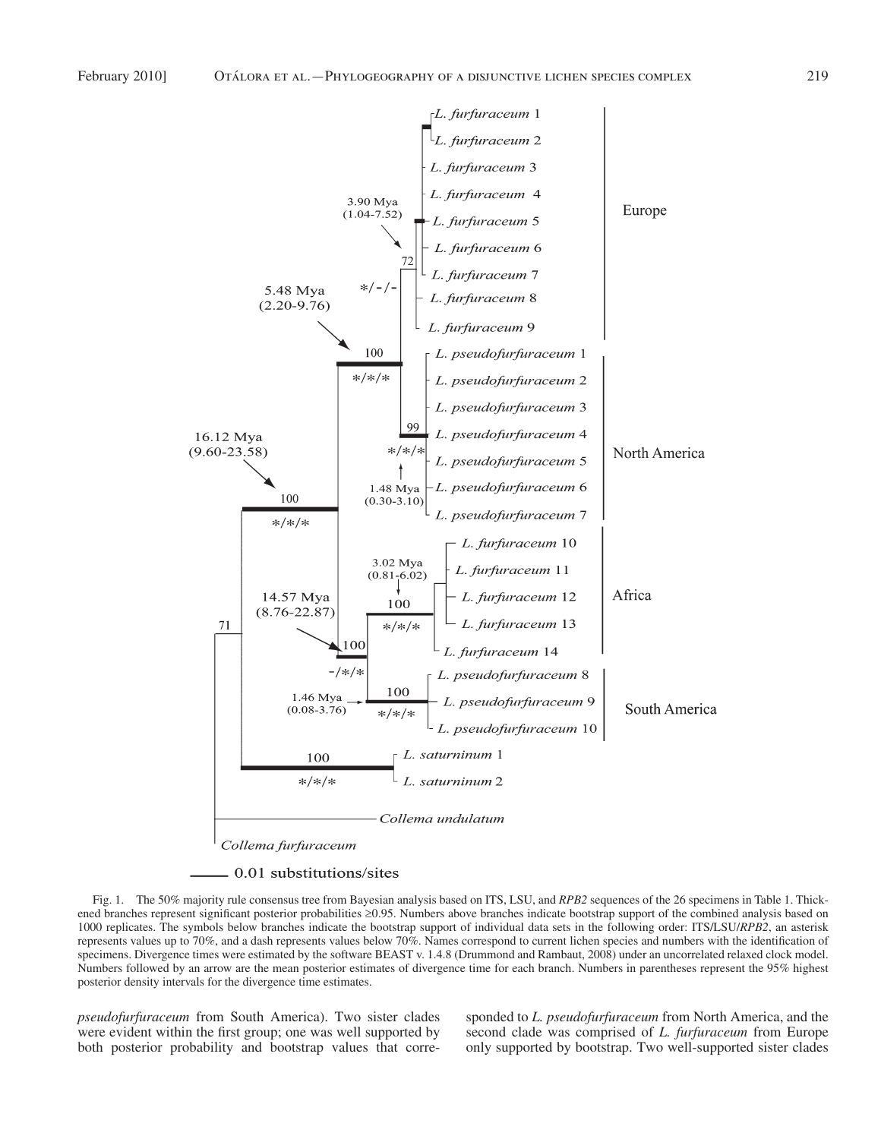

- 0.01 substitutions/sites

 Fig. 1. The 50% majority rule consensus tree from Bayesian analysis based on ITS, LSU, and *RPB2* sequences of the 26 specimens in Table 1. Thickened branches represent significant posterior probabilities ≥0.95. Numbers above branches indicate bootstrap support of the combined analysis based on 1000 replicates. The symbols below branches indicate the bootstrap support of individual data sets in the following order: ITS/LSU/ *RPB2* , an asterisk represents values up to 70%, and a dash represents values below 70%. Names correspond to current lichen species and numbers with the identification of specimens. Divergence times were estimated by the software BEAST v. 1.4.8 ( Drummond and Rambaut, 2008 ) under an uncorrelated relaxed clock model. Numbers followed by an arrow are the mean posterior estimates of divergence time for each branch. Numbers in parentheses represent the 95% highest posterior density intervals for the divergence time estimates.

*pseudofurfuraceum* from South America). Two sister clades were evident within the first group; one was well supported by both posterior probability and bootstrap values that corre-

sponded to *L. pseudofurfuraceum* from North America, and the second clade was comprised of *L. furfuraceum* from Europe only supported by bootstrap. Two well-supported sister clades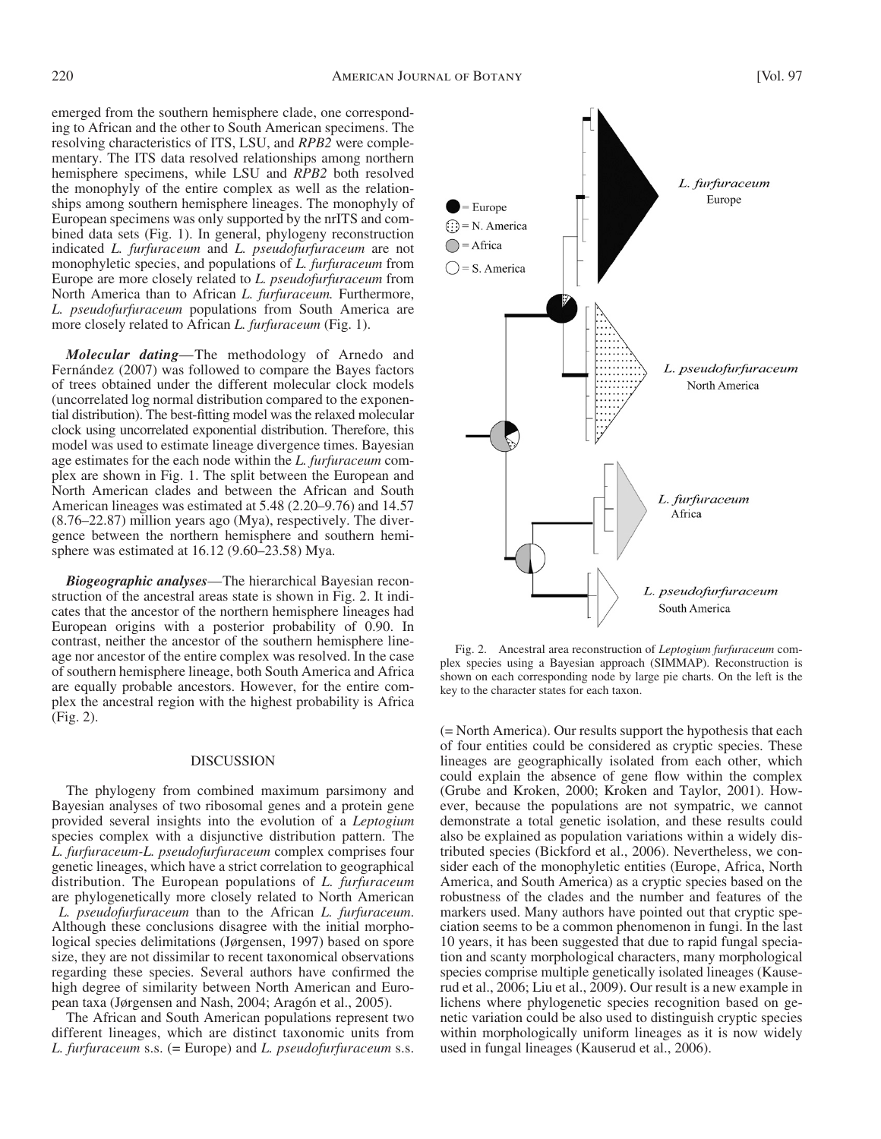emerged from the southern hemisphere clade, one corresponding to African and the other to South American specimens. The resolving characteristics of ITS, LSU, and *RPB2* were complementary. The ITS data resolved relationships among northern hemisphere specimens, while LSU and *RPB2* both resolved the monophyly of the entire complex as well as the relationships among southern hemisphere lineages. The monophyly of European specimens was only supported by the nrITS and combined data sets (Fig. 1). In general, phylogeny reconstruction indicated *L. furfuraceum* and *L. pseudofurfuraceum* are not monophyletic species, and populations of *L. furfuraceum* from Europe are more closely related to *L. pseudofurfuraceum* from North America than to African *L. furfuraceum.* Furthermore, *L. pseudofurfuraceum* populations from South America are more closely related to African *L. furfuraceum* (Fig. 1).

*Molecular dating* — The methodology of Arnedo and Fernández (2007) was followed to compare the Bayes factors of trees obtained under the different molecular clock models (uncorrelated log normal distribution compared to the exponential distribution). The best-fitting model was the relaxed molecular clock using uncorrelated exponential distribution. Therefore, this model was used to estimate lineage divergence times. Bayesian age estimates for the each node within the *L. furfuraceum* complex are shown in Fig. 1. The split between the European and North American clades and between the African and South American lineages was estimated at 5.48 (2.20–9.76) and 14.57  $(8.76 - 22.87)$  million years ago (Mya), respectively. The divergence between the northern hemisphere and southern hemisphere was estimated at  $16.12$  (9.60–23.58) Mya.

*Biogeographic analyses***—The hierarchical Bayesian recon**struction of the ancestral areas state is shown in Fig. 2. It indicates that the ancestor of the northern hemisphere lineages had European origins with a posterior probability of 0.90. In contrast, neither the ancestor of the southern hemisphere lineage nor ancestor of the entire complex was resolved. In the case of southern hemisphere lineage, both South America and Africa are equally probable ancestors. However, for the entire complex the ancestral region with the highest probability is Africa  $(Fig. 2)$ .

### DISCUSSION

 The phylogeny from combined maximum parsimony and Bayesian analyses of two ribosomal genes and a protein gene provided several insights into the evolution of a *Leptogium* species complex with a disjunctive distribution pattern. The *L. furfuraceum-L. pseudofurfuraceum* complex comprises four genetic lineages, which have a strict correlation to geographical distribution. The European populations of *L. furfuraceum* are phylogenetically more closely related to North American *L. pseudofurfuraceum* than to the African *L. furfuraceum* . Although these conclusions disagree with the initial morphological species delimitations (Jørgensen, 1997) based on spore size, they are not dissimilar to recent taxonomical observations regarding these species. Several authors have confirmed the high degree of similarity between North American and European taxa (Jørgensen and Nash, 2004; Aragón et al., 2005).

 The African and South American populations represent two different lineages, which are distinct taxonomic units from *L. furfuraceum* s.s. (= Europe) and *L. pseudofurfuraceum* s.s.



 Fig. 2. Ancestral area reconstruction of *Leptogium furfuraceum* complex species using a Bayesian approach (SIMMAP). Reconstruction is shown on each corresponding node by large pie charts. On the left is the key to the character states for each taxon.

(= North America). Our results support the hypothesis that each of four entities could be considered as cryptic species. These lineages are geographically isolated from each other, which could explain the absence of gene flow within the complex (Grube and Kroken, 2000; Kroken and Taylor, 2001). However, because the populations are not sympatric, we cannot demonstrate a total genetic isolation, and these results could also be explained as population variations within a widely distributed species ( Bickford et al., 2006 ). Nevertheless, we consider each of the monophyletic entities (Europe, Africa, North America, and South America) as a cryptic species based on the robustness of the clades and the number and features of the markers used. Many authors have pointed out that cryptic speciation seems to be a common phenomenon in fungi. In the last 10 years, it has been suggested that due to rapid fungal speciation and scanty morphological characters, many morphological species comprise multiple genetically isolated lineages (Kauserud et al., 2006; Liu et al., 2009). Our result is a new example in lichens where phylogenetic species recognition based on genetic variation could be also used to distinguish cryptic species within morphologically uniform lineages as it is now widely used in fungal lineages (Kauserud et al., 2006).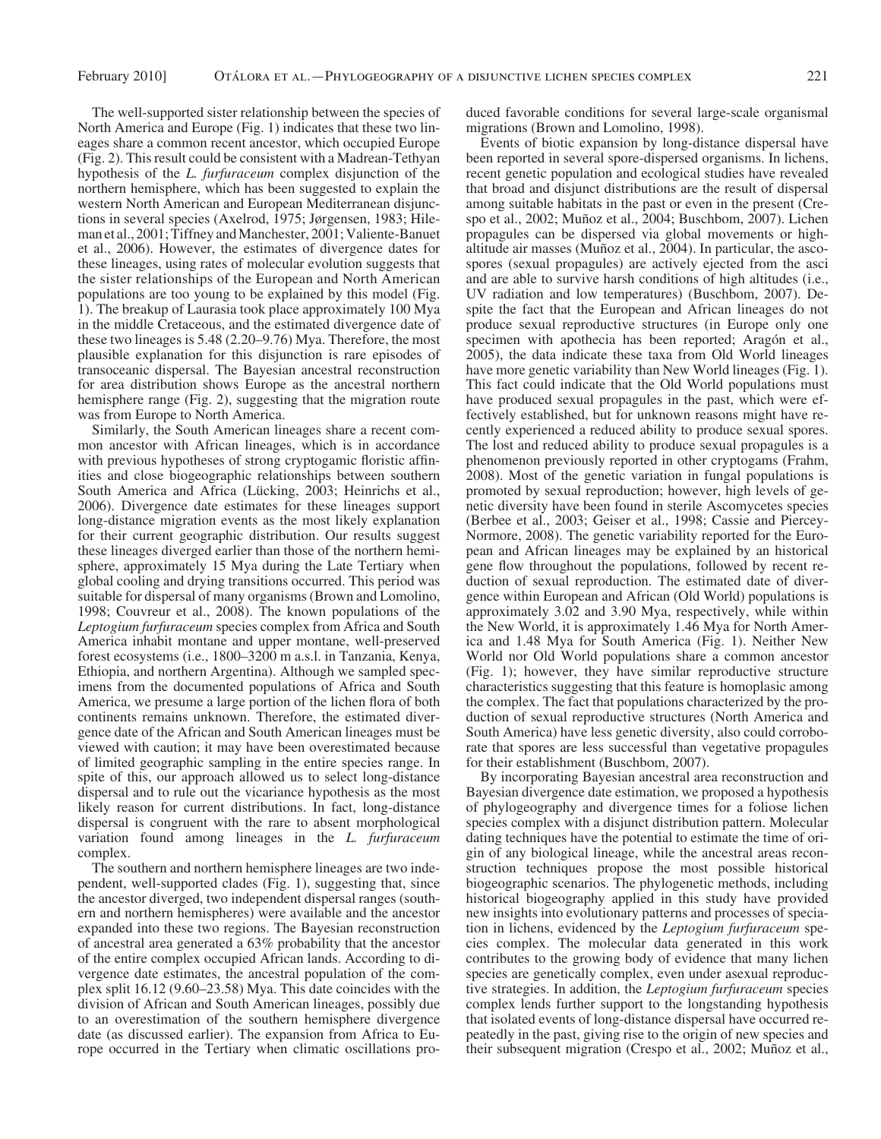The well-supported sister relationship between the species of North America and Europe (Fig. 1) indicates that these two lineages share a common recent ancestor, which occupied Europe (Fig. 2). This result could be consistent with a Madrean-Tethyan hypothesis of the *L. furfuraceum* complex disjunction of the northern hemisphere, which has been suggested to explain the western North American and European Mediterranean disjunctions in several species (Axelrod, 1975; Jørgensen, 1983; Hileman et al., 2001; Tiffney and Manchester, 2001; Valiente-Banuet et al., 2006). However, the estimates of divergence dates for these lineages, using rates of molecular evolution suggests that the sister relationships of the European and North American populations are too young to be explained by this model (Fig. 1 ). The breakup of Laurasia took place approximately 100 Mya in the middle Cretaceous, and the estimated divergence date of these two lineages is 5.48 (2.20–9.76) Mya. Therefore, the most plausible explanation for this disjunction is rare episodes of transoceanic dispersal. The Bayesian ancestral reconstruction for area distribution shows Europe as the ancestral northern hemisphere range (Fig. 2), suggesting that the migration route was from Europe to North America.

 Similarly, the South American lineages share a recent common ancestor with African lineages, which is in accordance with previous hypotheses of strong cryptogamic floristic affinities and close biogeographic relationships between southern South America and Africa (Lücking, 2003; Heinrichs et al., 2006). Divergence date estimates for these lineages support long-distance migration events as the most likely explanation for their current geographic distribution. Our results suggest these lineages diverged earlier than those of the northern hemisphere, approximately 15 Mya during the Late Tertiary when global cooling and drying transitions occurred. This period was suitable for dispersal of many organisms (Brown and Lomolino, 1998; Couvreur et al., 2008). The known populations of the *Leptogium furfuraceum* species complex from Africa and South America inhabit montane and upper montane, well-preserved forest ecosystems (i.e., 1800–3200 m a.s.l. in Tanzania, Kenya, Ethiopia, and northern Argentina). Although we sampled specimens from the documented populations of Africa and South America, we presume a large portion of the lichen flora of both continents remains unknown. Therefore, the estimated divergence date of the African and South American lineages must be viewed with caution; it may have been overestimated because of limited geographic sampling in the entire species range. In spite of this, our approach allowed us to select long-distance dispersal and to rule out the vicariance hypothesis as the most likely reason for current distributions. In fact, long-distance dispersal is congruent with the rare to absent morphological variation found among lineages in the *L. furfuraceum* complex.

 The southern and northern hemisphere lineages are two independent, well-supported clades (Fig. 1), suggesting that, since the ancestor diverged, two independent dispersal ranges (southern and northern hemispheres) were available and the ancestor expanded into these two regions. The Bayesian reconstruction of ancestral area generated a 63% probability that the ancestor of the entire complex occupied African lands. According to divergence date estimates, the ancestral population of the complex split  $16.12$  (9.60–23.58) Mya. This date coincides with the division of African and South American lineages, possibly due to an overestimation of the southern hemisphere divergence date (as discussed earlier). The expansion from Africa to Europe occurred in the Tertiary when climatic oscillations pro-

duced favorable conditions for several large-scale organismal migrations (Brown and Lomolino, 1998).

 Events of biotic expansion by long-distance dispersal have been reported in several spore-dispersed organisms. In lichens, recent genetic population and ecological studies have revealed that broad and disjunct distributions are the result of dispersal among suitable habitats in the past or even in the present (Crespo et al., 2002; Muñoz et al., 2004; Buschbom, 2007). Lichen propagules can be dispersed via global movements or highaltitude air masses (Muñoz et al., 2004). In particular, the ascospores (sexual propagules) are actively ejected from the asci and are able to survive harsh conditions of high altitudes (i.e., UV radiation and low temperatures) ( Buschbom, 2007 ). Despite the fact that the European and African lineages do not produce sexual reproductive structures (in Europe only one specimen with apothecia has been reported; Aragón et al.,  $2005$ ), the data indicate these taxa from Old World lineages have more genetic variability than New World lineages (Fig. 1). This fact could indicate that the Old World populations must have produced sexual propagules in the past, which were effectively established, but for unknown reasons might have recently experienced a reduced ability to produce sexual spores. The lost and reduced ability to produce sexual propagules is a phenomenon previously reported in other cryptogams (Frahm, 2008 ). Most of the genetic variation in fungal populations is promoted by sexual reproduction; however, high levels of genetic diversity have been found in sterile Ascomycetes species (Berbee et al., 2003; Geiser et al., 1998; Cassie and Piercey-Normore, 2008). The genetic variability reported for the European and African lineages may be explained by an historical gene flow throughout the populations, followed by recent reduction of sexual reproduction. The estimated date of divergence within European and African (Old World) populations is approximately 3.02 and 3.90 Mya, respectively, while within the New World, it is approximately 1.46 Mya for North America and 1.48 Mya for South America (Fig. 1). Neither New World nor Old World populations share a common ancestor (Fig. 1); however, they have similar reproductive structure characteristics suggesting that this feature is homoplasic among the complex. The fact that populations characterized by the production of sexual reproductive structures (North America and South America) have less genetic diversity, also could corroborate that spores are less successful than vegetative propagules for their establishment (Buschbom, 2007).

 By incorporating Bayesian ancestral area reconstruction and Bayesian divergence date estimation, we proposed a hypothesis of phylogeography and divergence times for a foliose lichen species complex with a disjunct distribution pattern. Molecular dating techniques have the potential to estimate the time of origin of any biological lineage, while the ancestral areas reconstruction techniques propose the most possible historical biogeographic scenarios. The phylogenetic methods, including historical biogeography applied in this study have provided new insights into evolutionary patterns and processes of speciation in lichens, evidenced by the *Leptogium furfuraceum* species complex. The molecular data generated in this work contributes to the growing body of evidence that many lichen species are genetically complex, even under asexual reproductive strategies. In addition, the *Leptogium furfuraceum* species complex lends further support to the longstanding hypothesis that isolated events of long-distance dispersal have occurred repeatedly in the past, giving rise to the origin of new species and their subsequent migration (Crespo et al., 2002; Muñoz et al.,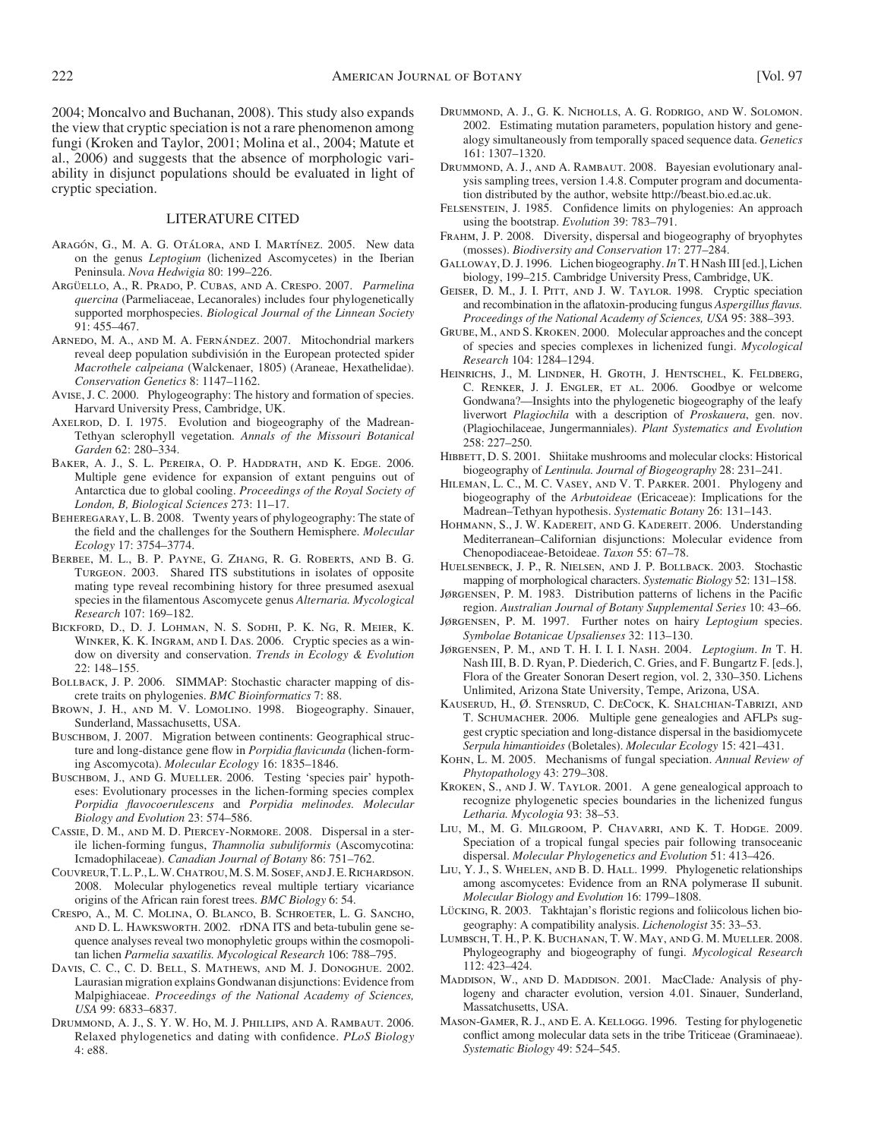2004 ; Moncalvo and Buchanan, 2008). This study also expands the view that cryptic speciation is not a rare phenomenon among fungi (Kroken and Taylor, 2001; Molina et al., 2004; Matute et al., 2006) and suggests that the absence of morphologic variability in disjunct populations should be evaluated in light of cryptic speciation.

#### LITERATURE CITED

- ARAGÓN, G., M. A. G. OTÁLORA, AND I. MARTÍNEZ. 2005. New data on the genus *Leptogium* (lichenized Ascomycetes) in the Iberian Peninsula. *Nova Hedwigia* 80: 199-226.
- Arg ü ello, A., R. Prado, P. Cubas, and A. Crespo . 2007 . *Parmelina quercina* (Parmeliaceae, Lecanorales) includes four phylogenetically supported morphospecies. *Biological Journal of the Linnean Society*  $91: 455 - 467.$
- ARNEDO, M. A., AND M. A. FERNÁNDEZ. 2007. Mitochondrial markers reveal deep population subdivisión in the European protected spider *Macrothele calpeiana* (Walckenaer, 1805) (Araneae, Hexathelidae). *Conservation Genetics 8: 1147-1162.*
- Avise, J. C. 2000. Phylogeography: The history and formation of species. Harvard University Press, Cambridge, UK.
- AXELROD, D. I. 1975. Evolution and biogeography of the Madrean-Tethyan sclerophyll vegetation *. Annals of the Missouri Botanical*  Garden 62: 280–334.
- BAKER, A. J., S. L. PEREIRA, O. P. HADDRATH, AND K. EDGE. 2006. Multiple gene evidence for expansion of extant penguins out of Antarctica due to global cooling. *Proceedings of the Royal Society of*  London, B, Biological Sciences 273: 11-17.
- BEHEREGARAY, L. B. 2008. Twenty years of phylogeography: The state of the field and the challenges for the Southern Hemisphere. *Molecular Ecology* 17 : 3754 – 3774 .
- Berbee, M. L., B. P. Payne, G. Zhang, R. G. Roberts, and B. G. TURGEON. 2003. Shared ITS substitutions in isolates of opposite mating type reveal recombining history for three presumed asexual species in the filamentous Ascomycete genus *Alternaria*. *Mycological Research* 107: 169-182.
- Bickford, D., D. J. Lohman, N. S. Sodhi, P. K. Ng, R. Meier, K. WINKER, K. K. INGRAM, AND I. DAS. 2006. Cryptic species as a window on diversity and conservation. *Trends in Ecology & Evolution* 22: 148-155.
- BOLLBACK, J. P. 2006. SIMMAP: Stochastic character mapping of discrete traits on phylogenies. *BMC Bioinformatics* 7: 88.
- BROWN, J. H., AND M. V. LOMOLINO. 1998. Biogeography. Sinauer, Sunderland, Massachusetts, USA.
- BUSCHBOM, J. 2007. Migration between continents: Geographical structure and long-distance gene flow in *Porpidia flavicunda* (lichen-forming Ascomycota). *Molecular Ecology* 16: 1835-1846.
- BUSCHBOM, J., AND G. MUELLER. 2006. Testing 'species pair' hypotheses: Evolutionary processes in the lichen-forming species complex *Porpidia flavocoerulescens* and *Porpidia melinodes. Molecular* Biology and Evolution 23: 574-586.
- CASSIE, D. M., AND M. D. PIERCEY-NORMORE. 2008. Dispersal in a sterile lichen-forming fungus, *Thamnolia subuliformis* (Ascomycotina: Icmadophilaceae). *Canadian Journal of Botany* 86: 751-762.
- Couvreur, T. L. P., L. W. Chatrou, M. S. M. Sosef, and J. E. Richardson . 2008. Molecular phylogenetics reveal multiple tertiary vicariance origins of the African rain forest trees. *BMC Biology* 6: 54.
- Crespo, A., M. C. Molina, O. Blanco, B. Schroeter, L. G. Sancho, and D. L. Hawksworth . 2002 . rDNA ITS and beta-tubulin gene sequence analyses reveal two monophyletic groups within the cosmopolitan lichen Parmelia saxatilis. Mycological Research 106: 788-795.
- DAVIS, C. C., C. D. BELL, S. MATHEWS, AND M. J. DONOGHUE, 2002. Laurasian migration explains Gondwanan disjunctions: Evidence from Malpighiaceae. *Proceedings of the National Academy of Sciences,*  USA 99: 6833-6837.
- DRUMMOND, A. J., S. Y. W. Ho, M. J. PHILLIPS, AND A. RAMBAUT. 2006. Relaxed phylogenetics and dating with confidence. *PLoS Biology* 4: e88.
- DRUMMOND, A. J., G. K. Nicholls, A. G. RODRIGO, AND W. SOLOMON. 2002. Estimating mutation parameters, population history and genealogy simultaneously from temporally spaced sequence data. *Genetics* 161: 1307-1320.
- DRUMMOND, A. J., AND A. RAMBAUT. 2008. Bayesian evolutionary analysis sampling trees, version 1.4.8. Computer program and documentation distributed by the author, website http://beast.bio.ed.ac.uk .
- FELSENSTEIN, J. 1985. Confidence limits on phylogenies: An approach using the bootstrap. *Evolution* 39: 783–791.
- FRAHM, J. P. 2008. Diversity, dispersal and biogeography of bryophytes (mosses). *Biodiversity and Conservation* 17: 277-284.
- Galloway, D. J. 1996 . Lichen biogeography. *In* T. H Nash III [ed.], Lichen biology, 199-215. Cambridge University Press, Cambridge, UK.
- GEISER, D. M., J. I. PITT, AND J. W. TAYLOR. 1998. Cryptic speciation and recombination in the aflatoxin-producing fungus *Aspergillus flavus*. Proceedings of the National Academy of Sciences, USA 95: 388-393.
- GRUBE, M., AND S. KROKEN. 2000. Molecular approaches and the concept of species and species complexes in lichenized fungi. *Mycological Research* 104: 1284-1294.
- Heinrichs, J., M. Lindner, H. Groth, J. Hentschel, K. Feldberg, C. Renker, J. J. Engler, et al. 2006 . Goodbye or welcome Gondwana? — Insights into the phylogenetic biogeography of the leafy liverwort *Plagiochila* with a description of *Proskauera*, gen. nov. (Plagiochilaceae, Jungermanniales). *Plant Systematics and Evolution* 258: 227-250.
- HIBBETT, D. S. 2001. Shiitake mushrooms and molecular clocks: Historical biogeography of *Lentinula. Journal of Biogeography* 28: 231–241.
- HILEMAN, L. C., M. C. VASEY, AND V. T. PARKER. 2001. Phylogeny and biogeography of the *Arbutoideae* (Ericaceae): Implications for the Madrean-Tethyan hypothesis. Systematic Botany 26: 131-143.
- HOHMANN, S., J. W. KADEREIT, AND G. KADEREIT. 2006. Understanding Mediterranean-Californian disjunctions: Molecular evidence from Chenopodiaceae-Betoideae. *Taxon* 55: 67-78.
- HUELSENBECK, J. P., R. NIELSEN, AND J. P. BOLLBACK. 2003. Stochastic mapping of morphological characters. *Systematic Biology* 52: 131–158.
- JØRGENSEN, P. M. 1983. Distribution patterns of lichens in the Pacific region. Australian Journal of Botany Supplemental Series 10: 43-66.
- JØRGENSEN, P. M. 1997. Further notes on hairy *Leptogium* species. Symbolae Botanicae Upsalienses 32: 113-130.
- JØRGENSEN, P. M., AND T. H. I. I. I. NASH. 2004. *Leptogium. In* T. H. Nash III, B. D. Ryan, P. Diederich, C. Gries, and F. Bungartz F. [eds.], Flora of the Greater Sonoran Desert region, vol. 2, 330–350. Lichens Unlimited, Arizona State University, Tempe, Arizona, USA.
- KAUSERUD, H., Ø. STENSRUD, C. DECOCK, K. SHALCHIAN-TABRIZI, AND T. SCHUMACHER. 2006. Multiple gene genealogies and AFLPs suggest cryptic speciation and long-distance dispersal in the basidiomycete *Serpula himantioides* (Boletales). *Molecular Ecology* 15: 421–431.
- KOHN, L. M. 2005. Mechanisms of fungal speciation. *Annual Review of* Phytopathology 43: 279-308.
- KROKEN, S., AND J. W. TAYLOR. 2001. A gene genealogical approach to recognize phylogenetic species boundaries in the lichenized fungus Letharia. Mycologia 93: 38-53.
- LIU, M., M. G. MILGROOM, P. CHAVARRI, AND K. T. HODGE. 2009. Speciation of a tropical fungal species pair following transoceanic dispersal. *Molecular Phylogenetics and Evolution* 51: 413-426.
- LIU, Y. J., S. WHELEN, AND B. D. HALL. 1999. Phylogenetic relationships among ascomycetes: Evidence from an RNA polymerase II subunit. *Molecular Biology and Evolution* 16 : 1799 – 1808 .
- LÜCKING, R. 2003. Takhtajan's floristic regions and foliicolous lichen biogeography: A compatibility analysis. *Lichenologist* 35: 33-53.
- LUMBSCH, T. H., P. K. BUCHANAN, T. W. MAY, AND G. M. MUELLER. 2008. Phylogeography and biogeography of fungi. *Mycological Research* 112: 423-424.
- MADDISON, W., AND D. MADDISON. 2001. MacClade: Analysis of phylogeny and character evolution, version 4.01. Sinauer, Sunderland, Massatchusetts, USA.
- MASON-GAMER, R. J., AND E. A. KELLOGG. 1996. Testing for phylogenetic conflict among molecular data sets in the tribe Triticeae (Graminaeae). *Systematic Biology* 49: 524-545.